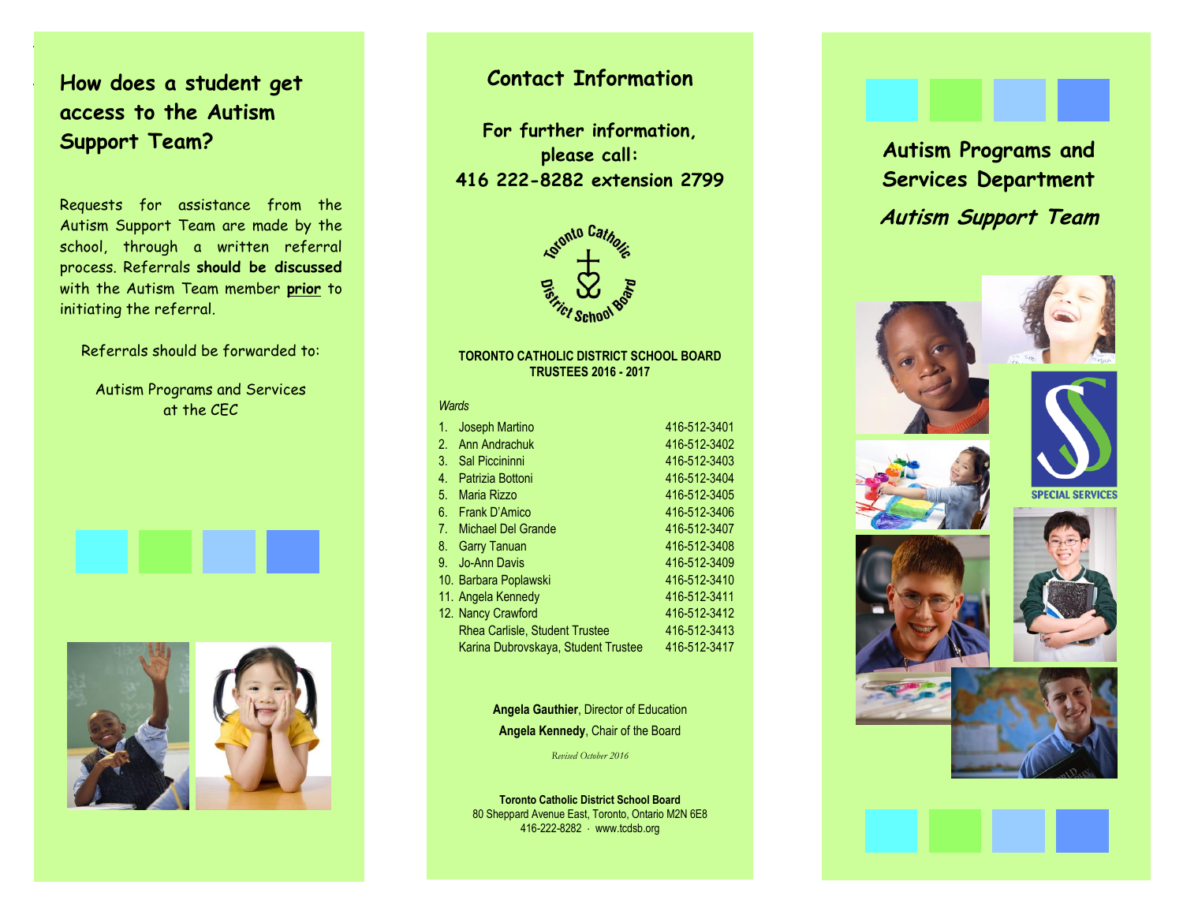**How does a student get access to the Autism Support Team?**

.

.

Requests for assistance from the Autism Support Team are made by the school, through a written referral process. Referrals **should be discussed** with the Autism Team member **prior** to initiating the referral.

Referrals should be forwarded to:

Autism Programs and Services at the CEC





## **Contact Information**

**For further information, please call: 416 222-8282 extension 2799**



#### **TOR TORONTO CATHOLIC DISTRICT SCHOOL BOARD TRUSTEES 2016 - 2017**

#### *Wards*

| 1. | Joseph Martino                        | 416-512-3401 |
|----|---------------------------------------|--------------|
| 2. | Ann Andrachuk                         | 416-512-3402 |
| 3. | <b>Sal Piccininni</b>                 | 416-512-3403 |
| 4. | <b>Patrizia Bottoni</b>               | 416-512-3404 |
| 5. | Maria Rizzo                           | 416-512-3405 |
| 6. | Frank D'Amico                         | 416-512-3406 |
|    | 7. Michael Del Grande                 | 416-512-3407 |
| 8. | <b>Garry Tanuan</b>                   | 416-512-3408 |
| 9. | <b>Jo-Ann Davis</b>                   | 416-512-3409 |
|    | 10. Barbara Poplawski                 | 416-512-3410 |
|    | 11. Angela Kennedy                    | 416-512-3411 |
|    | 12. Nancy Crawford                    | 416-512-3412 |
|    | <b>Rhea Carlisle, Student Trustee</b> | 416-512-3413 |
|    | Karina Dubrovskaya, Student Trustee   | 416-512-3417 |
|    |                                       |              |

### **Angela Gauthier**, Director of Education **Angela Kennedy**, Chair of the Board

*Revised October 2016*

**Toronto Catholic District School Board** 80 Sheppard Avenue East, Toronto, Ontario M2N 6E8 416-222-8282 www.tcdsb.org

**Autism Programs and Services Department Autism Support Team**